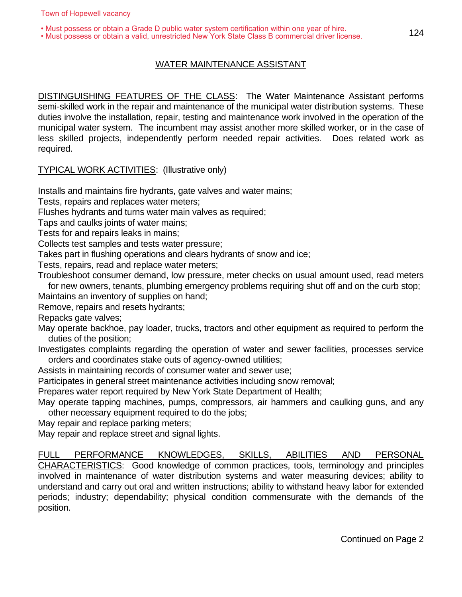• Must possess or obtain a Grade D public water system certification within one year of hire.

• Must possess or obtain a valid, unrestricted New York State Class B commercial driver license.

## WATER MAINTENANCE ASSISTANT

DISTINGUISHING FEATURES OF THE CLASS: The Water Maintenance Assistant performs semi-skilled work in the repair and maintenance of the municipal water distribution systems. These duties involve the installation, repair, testing and maintenance work involved in the operation of the municipal water system. The incumbent may assist another more skilled worker, or in the case of less skilled projects, independently perform needed repair activities. Does related work as required.

## TYPICAL WORK ACTIVITIES: (Illustrative only)

Installs and maintains fire hydrants, gate valves and water mains;

Tests, repairs and replaces water meters;

Flushes hydrants and turns water main valves as required;

Taps and caulks joints of water mains;

Tests for and repairs leaks in mains;

Collects test samples and tests water pressure;

Takes part in flushing operations and clears hydrants of snow and ice;

Tests, repairs, read and replace water meters;

Troubleshoot consumer demand, low pressure, meter checks on usual amount used, read meters for new owners, tenants, plumbing emergency problems requiring shut off and on the curb stop;

Maintains an inventory of supplies on hand;

Remove, repairs and resets hydrants;

Repacks gate valves;

May operate backhoe, pay loader, trucks, tractors and other equipment as required to perform the duties of the position;

Investigates complaints regarding the operation of water and sewer facilities, processes service orders and coordinates stake outs of agency-owned utilities;

Assists in maintaining records of consumer water and sewer use;

Participates in general street maintenance activities including snow removal;

Prepares water report required by New York State Department of Health;

May operate tapping machines, pumps, compressors, air hammers and caulking guns, and any other necessary equipment required to do the jobs;

May repair and replace parking meters;

May repair and replace street and signal lights.

FULL PERFORMANCE KNOWLEDGES, SKILLS, ABILITIES AND PERSONAL CHARACTERISTICS: Good knowledge of common practices, tools, terminology and principles involved in maintenance of water distribution systems and water measuring devices; ability to understand and carry out oral and written instructions; ability to withstand heavy labor for extended periods; industry; dependability; physical condition commensurate with the demands of the position.

Continued on Page 2